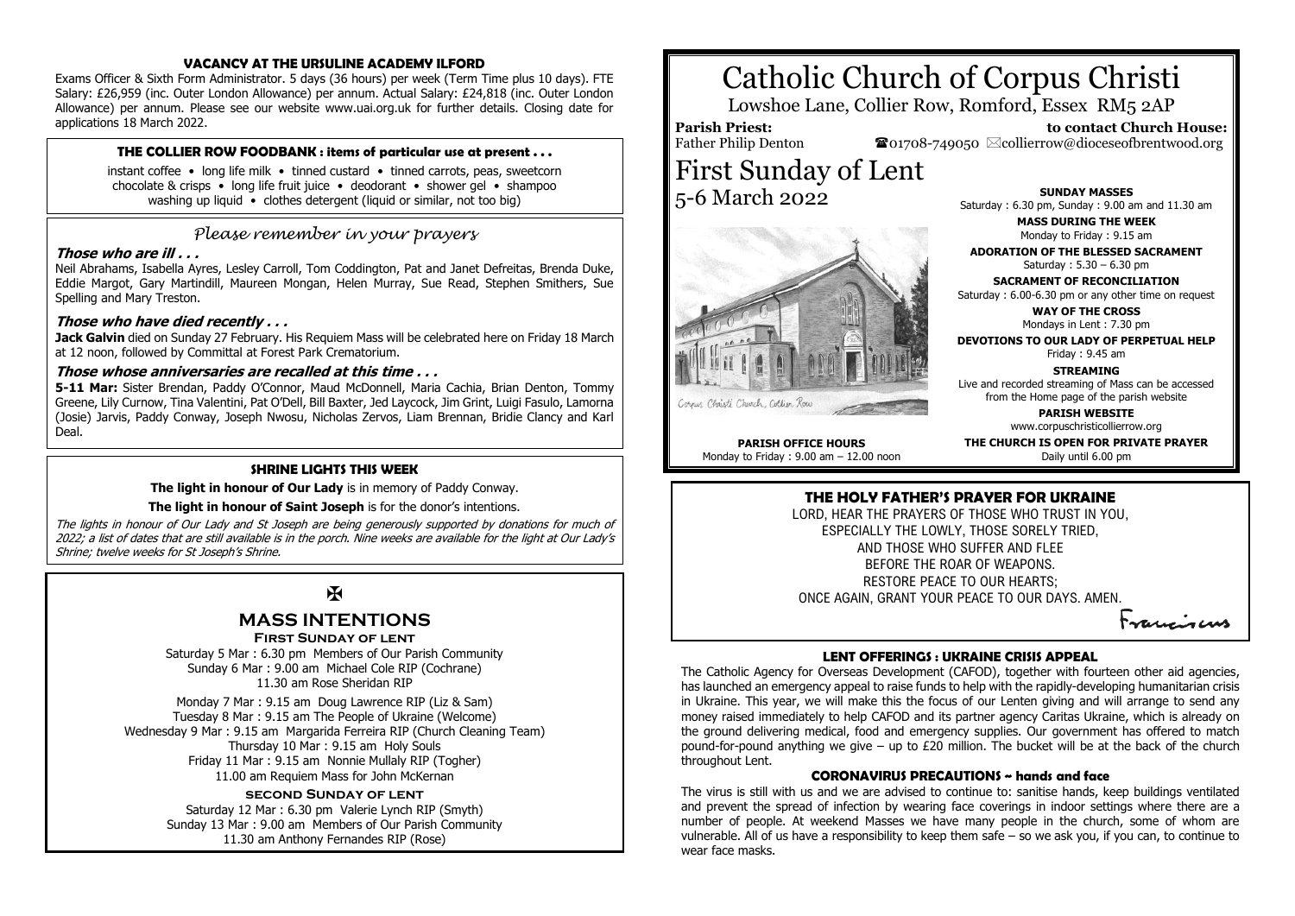#### **VACANCY AT THE URSULINE ACADEMY ILFORD**

Exams Officer & Sixth Form Administrator. 5 days (36 hours) per week (Term Time plus 10 days). FTE Salary: £26,959 (inc. Outer London Allowance) per annum. Actual Salary: £24,818 (inc. Outer London Allowance) per annum. Please see our website www.uai.org.uk for further details. Closing date for applications 18 March 2022.

# **THE COLLIER ROW FOODBANK : items of particular use at present . . .**

instant coffee • long life milk • tinned custard • tinned carrots, peas, sweetcorn chocolate & crisps • long life fruit juice • deodorant • shower gel • shampoo washing up liquid • clothes detergent (liquid or similar, not too big)

# *Please remember in your prayers*

# **Those who are ill . . .**

Neil Abrahams, Isabella Ayres, Lesley Carroll, Tom Coddington, Pat and Janet Defreitas, Brenda Duke, Eddie Margot, Gary Martindill, Maureen Mongan, Helen Murray, Sue Read, Stephen Smithers, Sue Spelling and Mary Treston.

# **Those who have died recently . . .**

**Jack Galvin** died on Sunday 27 February. His Requiem Mass will be celebrated here on Friday 18 March at 12 noon, followed by Committal at Forest Park Crematorium.

# **Those whose anniversaries are recalled at this time . . .**

**5-11 Mar:** Sister Brendan, Paddy O'Connor, Maud McDonnell, Maria Cachia, Brian Denton, Tommy Greene, Lily Curnow, Tina Valentini, Pat O'Dell, Bill Baxter, Jed Laycock, Jim Grint, Luigi Fasulo, Lamorna (Josie) Jarvis, Paddy Conway, Joseph Nwosu, Nicholas Zervos, Liam Brennan, Bridie Clancy and Karl Deal.

# **SHRINE LIGHTS THIS WEEK**

**The light in honour of Our Lady** is in memory of Paddy Conway.

## **The light in honour of Saint Joseph** is for the donor's intentions.

The lights in honour of Our Lady and St Joseph are being generously supported by donations for much of 2022; a list of dates that are still available is in the porch. Nine weeks are available for the light at Our Lady's Shrine; twelve weeks for St Joseph's Shrine.

# $\mathbf K$

# **MASS INTENTIONS**

**First Sunday of lent**

Saturday 5 Mar : 6.30 pm Members of Our Parish Community Sunday 6 Mar : 9.00 am Michael Cole RIP (Cochrane) 11.30 am Rose Sheridan RIP

Monday 7 Mar : 9.15 am Doug Lawrence RIP (Liz & Sam) Tuesday 8 Mar : 9.15 am The People of Ukraine (Welcome) Wednesday 9 Mar : 9.15 am Margarida Ferreira RIP (Church Cleaning Team) Thursday 10 Mar : 9.15 am Holy Souls Friday 11 Mar : 9.15 am Nonnie Mullaly RIP (Togher) 11.00 am Requiem Mass for John McKernan

# **second Sunday of lent**

Saturday 12 Mar : 6.30 pm Valerie Lynch RIP (Smyth) Sunday 13 Mar : 9.00 am Members of Our Parish Community 11.30 am Anthony Fernandes RIP (Rose)

# Catholic Church of Corpus Christi

Lowshoe Lane, Collier Row, Romford, Essex RM5 2AP

# **Parish Priest:** Father Philip Denton

Corpus Christi Church, Collier Rou

 $\bullet$ 01708-749050  $\boxtimes$ collierrow@dioceseofbrentwood.org



 **to contact Church House:**

**MASS DURING THE WEEK** Monday to Friday : 9.15 am

**ADORATION OF THE BLESSED SACRAMENT** Saturday : 5.30 – 6.30 pm

**SACRAMENT OF RECONCILIATION** Saturday : 6.00-6.30 pm or any other time on request

**WAY OF THE CROSS** Mondays in Lent : 7.30 pm

**DEVOTIONS TO OUR LADY OF PERPETUAL HELP** Friday : 9.45 am

**STREAMING** Live and recorded streaming of Mass can be accessed from the Home page of the parish website

**PARISH WEBSITE**

www.corpuschristicollierrow.org

**PARISH OFFICE HOURS** Monday to Friday : 9.00 am – 12.00 noon **THE CHURCH IS OPEN FOR PRIVATE PRAYER** Daily until 6.00 pm

# **THE HOLY FATHER'S PRAYER FOR UKRAINE**

LORD, HEAR THE PRAYERS OF THOSE WHO TRUST IN YOU, ESPECIALLY THE LOWLY, THOSE SORELY TRIED, AND THOSE WHO SUFFER AND FLEE BEFORE THE ROAR OF WEAPONS. RESTORE PEACE TO OUR HEARTS; ONCE AGAIN, GRANT YOUR PEACE TO OUR DAYS. AMEN.

Franciscus

## **LENT OFFERINGS : UKRAINE CRISIS APPEAL**

The Catholic Agency for Overseas Development (CAFOD), together with fourteen other aid agencies, has launched an emergency appeal to raise funds to help with the rapidly-developing humanitarian crisis in Ukraine. This year, we will make this the focus of our Lenten giving and will arrange to send any money raised immediately to help CAFOD and its partner agency Caritas Ukraine, which is already on the ground delivering medical, food and emergency supplies. Our government has offered to match pound-for-pound anything we give – up to £20 million. The bucket will be at the back of the church throughout Lent.

#### **CORONAVIRUS PRECAUTIONS ~ hands and face**

The virus is still with us and we are advised to continue to: sanitise hands, keep buildings ventilated and prevent the spread of infection by wearing face coverings in indoor settings where there are a number of people. At weekend Masses we have many people in the church, some of whom are vulnerable. All of us have a responsibility to keep them safe – so we ask you, if you can, to continue to wear face masks.